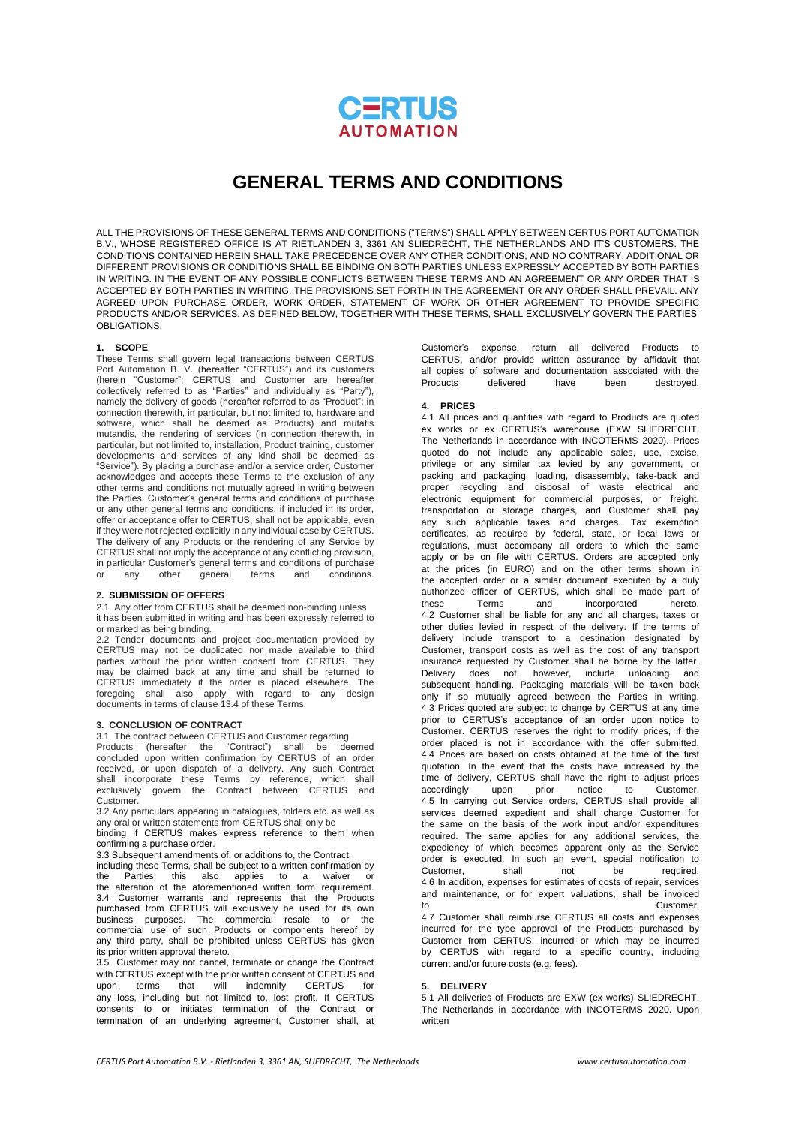

# **GENERAL TERMS AND CONDITIONS**

ALL THE PROVISIONS OF THESE GENERAL TERMS AND CONDITIONS ("TERMS") SHALL APPLY BETWEEN CERTUS PORT AUTOMATION B.V., WHOSE REGISTERED OFFICE IS AT RIETLANDEN 3, 3361 AN SLIEDRECHT, THE NETHERLANDS AND IT'S CUSTOMERS. THE CONDITIONS CONTAINED HEREIN SHALL TAKE PRECEDENCE OVER ANY OTHER CONDITIONS, AND NO CONTRARY, ADDITIONAL OR DIFFERENT PROVISIONS OR CONDITIONS SHALL BE BINDING ON BOTH PARTIES UNLESS EXPRESSLY ACCEPTED BY BOTH PARTIES IN WRITING. IN THE EVENT OF ANY POSSIBLE CONFLICTS BETWEEN THESE TERMS AND AN AGREEMENT OR ANY ORDER THAT IS ACCEPTED BY BOTH PARTIES IN WRITING, THE PROVISIONS SET FORTH IN THE AGREEMENT OR ANY ORDER SHALL PREVAIL. ANY AGREED UPON PURCHASE ORDER, WORK ORDER, STATEMENT OF WORK OR OTHER AGREEMENT TO PROVIDE SPECIFIC PRODUCTS AND/OR SERVICES, AS DEFINED BELOW, TOGETHER WITH THESE TERMS, SHALL EXCLUSIVELY GOVERN THE PARTIES' OBLIGATIONS.

# **1. SCOPE**

These Terms shall govern legal transactions between CERTUS Port Automation B. V. (hereafter "CERTUS") and its customers (herein "Customer"; CERTUS and Customer are hereafter collectively referred to as "Parties" and individually as "Party"), namely the delivery of goods (hereafter referred to as "Product"; in connection therewith, in particular, but not limited to, hardware and software, which shall be deemed as Products) and mutatis mutandis, the rendering of services (in connection therewith, in particular, but not limited to, installation, Product training, customer developments and services of any kind shall be deemed as "Service"). By placing a purchase and/or a service order, Customer acknowledges and accepts these Terms to the exclusion of any other terms and conditions not mutually agreed in writing between the Parties. Customer's general terms and conditions of purchase or any other general terms and conditions, if included in its order, offer or acceptance offer to CERTUS, shall not be applicable, even if they were not rejected explicitly in any individual case by CERTUS. The delivery of any Products or the rendering of any Service by CERTUS shall not imply the acceptance of any conflicting provision, in particular Customer's general terms and conditions of purchase any other general terms and conditions.

### **2. SUBMISSION OF OFFERS**

2.1 Any offer from CERTUS shall be deemed non-binding unless it has been submitted in writing and has been expressly referred to or marked as being binding.

2.2 Tender documents and project documentation provided by CERTUS may not be duplicated nor made available to third parties without the prior written consent from CERTUS. They may be claimed back at any time and shall be returned to CERTUS immediately if the order is placed elsewhere. The foregoing shall also apply with regard to any design documents in terms of clause 13.4 of these Terms.

#### **3. CONCLUSION OF CONTRACT**

3.1 The contract between CERTUS and Customer regarding

Products (hereafter the "Contract") shall be deemed concluded upon written confirmation by CERTUS of an order received, or upon dispatch of a delivery. Any such Contract shall incorporate these Terms by reference, which shall exclusively govern the Contract between CERTUS and Customer.

3.2 Any particulars appearing in catalogues, folders etc. as well as any oral or written statements from CERTUS shall only be

binding if CERTUS makes express reference to them when confirming a purchase order.

3.3 Subsequent amendments of, or additions to, the Contract,

including these Terms, shall be subject to a written confirmation by the Parties; this also applies to a waiver or the alteration of the aforementioned written form requirement. 3.4 Customer warrants and represents that the Products purchased from CERTUS will exclusively be used for its own business purposes. The commercial resale to or commercial use of such Products or components hereof by any third party, shall be prohibited unless CERTUS has given its prior written approval thereto.

3.5 Customer may not cancel, terminate or change the Contract with CERTUS except with the prior written consent of CERTUS and<br>upon terms that will indemnify CERTUS for upon terms that will indemnify CERTUS for any loss, including but not limited to, lost profit. If CERTUS consents to or initiates termination of the Contract or termination of an underlying agreement, Customer shall, at

Customer's expense, return all delivered Products to CERTUS, and/or provide written assurance by affidavit that all copies of software and documentation associated with the<br>Products delivered have been destroyed. delivered have been destroyed.

## **4. PRICES**

4.1 All prices and quantities with regard to Products are quoted ex works or ex CERTUS's warehouse (EXW SLIEDRECHT, The Netherlands in accordance with INCOTERMS 2020). Prices quoted do not include any applicable sales, use, excise, privilege or any similar tax levied by any government, or packing and packaging, loading, disassembly, take-back and proper recycling and disposal of waste electrical and electronic equipment for commercial purposes, or freight, transportation or storage charges, and Customer shall pay any such applicable taxes and charges. Tax exemption certificates, as required by federal, state, or local laws or regulations, must accompany all orders to which the same apply or be on file with CERTUS. Orders are accepted only at the prices (in EURO) and on the other terms shown in the accepted order or a similar document executed by a duly authorized officer of CERTUS, which shall be made part of<br>these Terms and incorporated hereto. these Terms and incorporated 4.2 Customer shall be liable for any and all charges, taxes or other duties levied in respect of the delivery. If the terms of delivery include transport to a destination designated by Customer, transport costs as well as the cost of any transport insurance requested by Customer shall be borne by the latter. Delivery does not, however, include unloading and subsequent handling. Packaging materials will be taken back only if so mutually agreed between the Parties in writing. 4.3 Prices quoted are subject to change by CERTUS at any time prior to CERTUS's acceptance of an order upon notice to Customer. CERTUS reserves the right to modify prices, if the order placed is not in accordance with the offer submitted. 4.4 Prices are based on costs obtained at the time of the first quotation. In the event that the costs have increased by the time of delivery, CERTUS shall have the right to adjust prices accordingly upon prior notice to Customer. 4.5 In carrying out Service orders, CERTUS shall provide all services deemed expedient and shall charge Customer for the same on the basis of the work input and/or expenditures required. The same applies for any additional services, the expediency of which becomes apparent only as the Service order is executed. In such an event, special notification to<br>Customer, shall not be required. Customer, shall not be required. 4.6 In addition, expenses for estimates of costs of repair, services and maintenance, or for expert valuations, shall be invoiced to **Customer.** 4.7 Customer shall reimburse CERTUS all costs and expenses incurred for the type approval of the Products purchased by Customer from CERTUS, incurred or which may be incurred by CERTUS with regard to a specific country, including

#### **5. DELIVERY**

current and/or future costs (e.g. fees).

5.1 All deliveries of Products are EXW (ex works) SLIEDRECHT, The Netherlands in accordance with INCOTERMS 2020. Upon written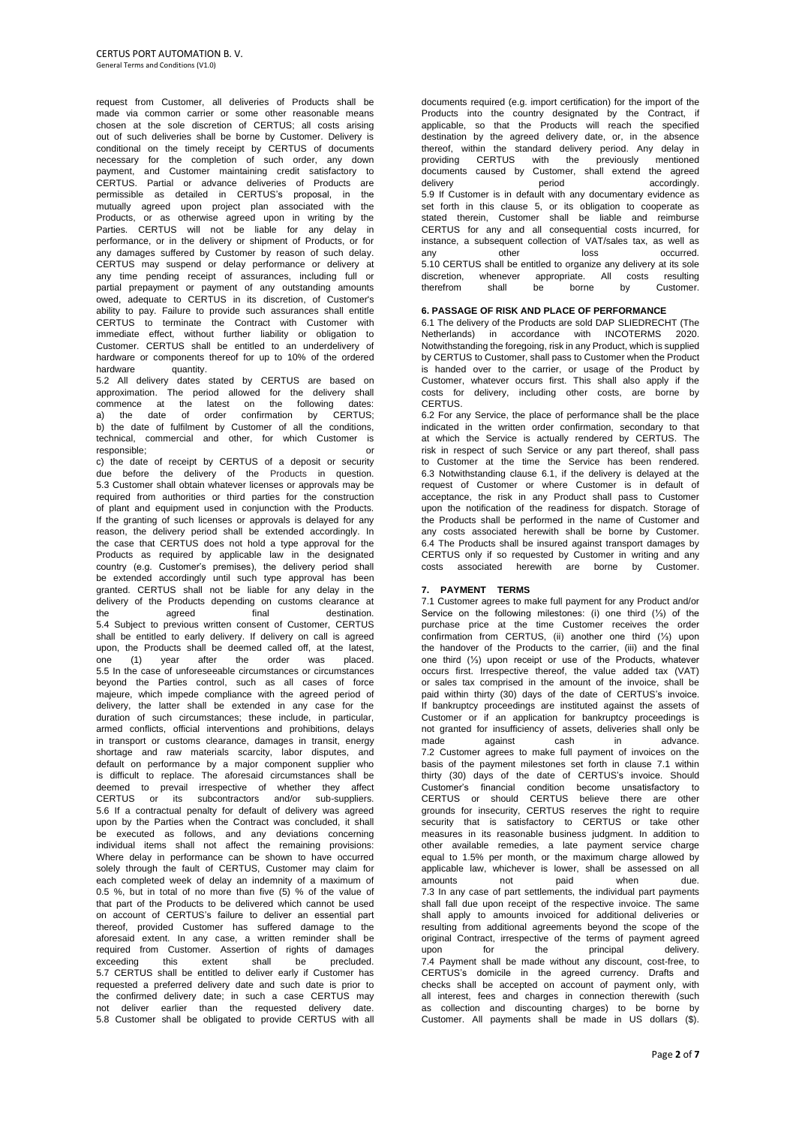request from Customer, all deliveries of Products shall be made via common carrier or some other reasonable means chosen at the sole discretion of CERTUS; all costs arising out of such deliveries shall be borne by Customer. Delivery is conditional on the timely receipt by CERTUS of documents necessary for the completion of such order, any down payment, and Customer maintaining credit satisfactory to CERTUS. Partial or advance deliveries of Products are permissible as detailed in CERTUS's proposal, in the mutually agreed upon project plan associated with the Products, or as otherwise agreed upon in writing by the Parties. CERTUS will not be liable for any delay in performance, or in the delivery or shipment of Products, or for any damages suffered by Customer by reason of such delay. CERTUS may suspend or delay performance or delivery at any time pending receipt of assurances, including full or partial prepayment or payment of any outstanding amounts owed, adequate to CERTUS in its discretion, of Customer's ability to pay. Failure to provide such assurances shall entitle CERTUS to terminate the Contract with Customer with immediate effect, without further liability or obligation to Customer. CERTUS shall be entitled to an underdelivery of hardware or components thereof for up to 10% of the ordered hardware quantity.

5.2 All delivery dates stated by CERTUS are based on approximation. The period allowed for the delivery shall commence at the latest on the following dates: a) the date of order confirmation by CERTUS; b) the date of fulfilment by Customer of all the conditions, technical, commercial and other, for which Customer is responsible; or a contract of the set of the set of the set of the set of the set of the set of the set of the set of the set of the set of the set of the set of the set of the set of the set of the set of the set of the s

c) the date of receipt by CERTUS of a deposit or security due before the delivery of the Products in question. 5.3 Customer shall obtain whatever licenses or approvals may be required from authorities or third parties for the construction of plant and equipment used in conjunction with the Products. If the granting of such licenses or approvals is delayed for any reason, the delivery period shall be extended accordingly. In the case that CERTUS does not hold a type approval for the Products as required by applicable law in the designated country (e.g. Customer's premises), the delivery period shall be extended accordingly until such type approval has been granted. CERTUS shall not be liable for any delay in the delivery of the Products depending on customs clearance at the agreed final destination. the agreed final destination. 5.4 Subject to previous written consent of Customer, CERTUS shall be entitled to early delivery. If delivery on call is agreed upon, the Products shall be deemed called off, at the latest, one (1) year after the order was placed. 5.5 In the case of unforeseeable circumstances or circumstances beyond the Parties control, such as all cases of force majeure, which impede compliance with the agreed period of delivery, the latter shall be extended in any case for the duration of such circumstances; these include, in particular, armed conflicts, official interventions and prohibitions, delays in transport or customs clearance, damages in transit, energy shortage and raw materials scarcity, labor disputes, and default on performance by a major component supplier who is difficult to replace. The aforesaid circumstances shall be deemed to prevail irrespective of whether they affect CERTUS or its subcontractors and/or sub-suppliers. 5.6 If a contractual penalty for default of delivery was agreed upon by the Parties when the Contract was concluded, it shall be executed as follows, and any deviations concerning individual items shall not affect the remaining provisions: Where delay in performance can be shown to have occurred solely through the fault of CERTUS, Customer may claim for each completed week of delay an indemnity of a maximum of 0.5 %, but in total of no more than five (5) % of the value of that part of the Products to be delivered which cannot be used on account of CERTUS's failure to deliver an essential part thereof, provided Customer has suffered damage to the aforesaid extent. In any case, a written reminder shall be required from Customer. Assertion of rights of damages<br>exceeding this extent shall be precluded.  $this$  extent shall be 5.7 CERTUS shall be entitled to deliver early if Customer has requested a preferred delivery date and such date is prior to the confirmed delivery date; in such a case CERTUS may not deliver earlier than the requested delivery date. 5.8 Customer shall be obligated to provide CERTUS with all

documents required (e.g. import certification) for the import of the Products into the country designated by the Contract, if applicable, so that the Products will reach the specified destination by the agreed delivery date, or, in the absence thereof, within the standard delivery period. Any delay in providing CERTUS with the previously mentioned documents caused by Customer, shall extend the agreed delivery period accordingly. 5.9 If Customer is in default with any documentary evidence as set forth in this clause 5, or its obligation to cooperate as stated therein, Customer shall be liable and reimburse CERTUS for any and all consequential costs incurred, for instance, a subsequent collection of VAT/sales tax, as well as<br>any other loss occurred. any other loss occurred 5.10 CERTUS shall be entitled to organize any delivery at its sole discretion, whenever appropriate. All costs resulting therefrom shall be borne by Customer.

## **6. PASSAGE OF RISK AND PLACE OF PERFORMANCE**

6.1 The delivery of the Products are sold DAP SLIEDRECHT (The Netherlands) in accordance with INCOTERMS 2020. Notwithstanding the foregoing, risk in any Product, which is supplied by CERTUS to Customer, shall pass to Customer when the Product is handed over to the carrier, or usage of the Product by Customer, whatever occurs first. This shall also apply if the costs for delivery, including other costs, are borne by **CERTUS** 

6.2 For any Service, the place of performance shall be the place indicated in the written order confirmation, secondary to that at which the Service is actually rendered by CERTUS. The risk in respect of such Service or any part thereof, shall pass to Customer at the time the Service has been rendered. 6.3 Notwithstanding clause 6.1, if the delivery is delayed at the request of Customer or where Customer is in default of acceptance, the risk in any Product shall pass to Customer upon the notification of the readiness for dispatch. Storage of the Products shall be performed in the name of Customer and any costs associated herewith shall be borne by Customer. 6.4 The Products shall be insured against transport damages by CERTUS only if so requested by Customer in writing and any  $costs$  associated herewith are borne by

# **7. PAYMENT TERMS**

7.1 Customer agrees to make full payment for any Product and/or Service on the following milestones: (i) one third (⅓) of the purchase price at the time Customer receives the order confirmation from CERTUS, (ii) another one third (⅓) upon the handover of the Products to the carrier, (iii) and the final one third (⅓) upon receipt or use of the Products, whatever occurs first. Irrespective thereof, the value added tax (VAT) or sales tax comprised in the amount of the invoice, shall be paid within thirty (30) days of the date of CERTUS's invoice. If bankruptcy proceedings are instituted against the assets of Customer or if an application for bankruptcy proceedings is not granted for insufficiency of assets, deliveries shall only be<br>made against cash in advance. made against cash in advance. 7.2 Customer agrees to make full payment of invoices on the basis of the payment milestones set forth in clause 7.1 within thirty (30) days of the date of CERTUS's invoice. Should Customer's financial condition become unsatisfactory to CERTUS or should CERTUS believe there are other grounds for insecurity, CERTUS reserves the right to require security that is satisfactory to CERTUS or take other measures in its reasonable business judgment. In addition to other available remedies, a late payment service charge equal to 1.5% per month, or the maximum charge allowed by applicable law, whichever is lower, shall be assessed on all amounts not paid when due. 7.3 In any case of part settlements, the individual part payments shall fall due upon receipt of the respective invoice. The same shall apply to amounts invoiced for additional deliveries or resulting from additional agreements beyond the scope of the original Contract, irrespective of the terms of payment agreed upon for the principal delivery. 7.4 Payment shall be made without any discount, cost-free, to CERTUS's domicile in the agreed currency. Drafts and checks shall be accepted on account of payment only, with all interest, fees and charges in connection therewith (such as collection and discounting charges) to be borne by Customer. All payments shall be made in US dollars (\$).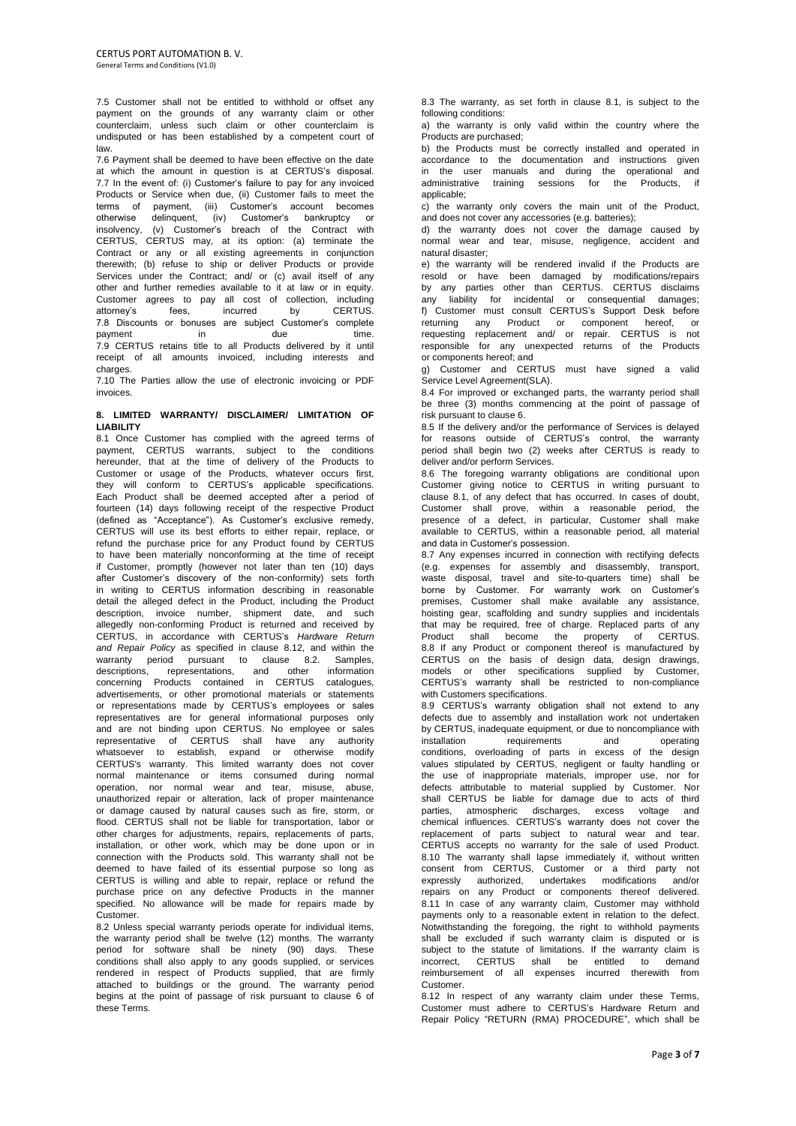7.5 Customer shall not be entitled to withhold or offset any payment on the grounds of any warranty claim or other counterclaim, unless such claim or other counterclaim is undisputed or has been established by a competent court of law.

7.6 Payment shall be deemed to have been effective on the date at which the amount in question is at CERTUS's disposal. 7.7 In the event of: (i) Customer's failure to pay for any invoiced Products or Service when due, (ii) Customer fails to meet the terms of payment, (iii) Customer's account becomes otherwise delinquent, (iv) Customer's bankruptcy or insolvency, (v) Customer's breach of the Contract with CERTUS, CERTUS may, at its option: (a) terminate the Contract or any or all existing agreements in conjunction therewith; (b) refuse to ship or deliver Products or provide Services under the Contract; and/ or (c) avail itself of any other and further remedies available to it at law or in equity. Customer agrees to pay all cost of collection, including<br>attorney's fees, incurred by CERTUS. attorney's fees, incurred by 7.8 Discounts or bonuses are subject Customer's complete payment in in due time. 7.9 CERTUS retains title to all Products delivered by it until receipt of all amounts invoiced, including interests and charges.

7.10 The Parties allow the use of electronic invoicing or PDF invoices.

# **8. LIMITED WARRANTY/ DISCLAIMER/ LIMITATION OF LIABILITY**

8.1 Once Customer has complied with the agreed terms of payment, CERTUS warrants, subject to the conditions hereunder, that at the time of delivery of the Products to Customer or usage of the Products, whatever occurs first, they will conform to CERTUS's applicable specifications. Each Product shall be deemed accepted after a period of fourteen (14) days following receipt of the respective Product (defined as "Acceptance"). As Customer's exclusive remedy, CERTUS will use its best efforts to either repair, replace, or refund the purchase price for any Product found by CERTUS to have been materially nonconforming at the time of receipt if Customer, promptly (however not later than ten (10) days after Customer's discovery of the non-conformity) sets forth in writing to CERTUS information describing in reasonable detail the alleged defect in the Product, including the Product description, invoice number, shipment date, and such allegedly non-conforming Product is returned and received by CERTUS, in accordance with CERTUS's *Hardware Return and Repair Policy* as specified in clause 8.12, and within the warranty period pursuant to clause 8.2. Samples, descriptions, representations, and other information concerning Products contained in CERTUS catalogues, advertisements, or other promotional materials or statements or representations made by CERTUS's employees or sales representatives are for general informational purposes only and are not binding upon CERTUS. No employee or sales representative of CERTUS shall have any authority whatsoever to establish, expand or otherwise modify CERTUS's warranty. This limited warranty does not cover normal maintenance or items consumed during normal operation, nor normal wear and tear, misuse, abuse, unauthorized repair or alteration, lack of proper maintenance or damage caused by natural causes such as fire, storm, or flood. CERTUS shall not be liable for transportation, labor or other charges for adjustments, repairs, replacements of parts, installation, or other work, which may be done upon or in connection with the Products sold. This warranty shall not be deemed to have failed of its essential purpose so long as CERTUS is willing and able to repair, replace or refund the purchase price on any defective Products in the manner specified. No allowance will be made for repairs made by Customer.

8.2 Unless special warranty periods operate for individual items, the warranty period shall be twelve (12) months. The warranty period for software shall be ninety (90) days. These conditions shall also apply to any goods supplied, or services rendered in respect of Products supplied, that are firmly attached to buildings or the ground. The warranty period begins at the point of passage of risk pursuant to clause 6 of these Terms.

8.3 The warranty, as set forth in clause 8.1, is subject to the following conditions:

a) the warranty is only valid within the country where the Products are purchased;

b) the Products must be correctly installed and operated in accordance to the documentation and instructions given in the user manuals and during the operational and administrative training sessions for the Products, if applicable;

c) the warranty only covers the main unit of the Product, and does not cover any accessories (e.g. batteries);

d) the warranty does not cover the damage caused by normal wear and tear, misuse, negligence, accident and natural disaster;

e) the warranty will be rendered invalid if the Products are resold or have been damaged by modifications/repairs by any parties other than CERTUS. CERTUS disclaims any liability for incidental or consequential damages; f) Customer must consult CERTUS's Support Desk before returning any Product or component hereof, or requesting replacement and/ or repair. CERTUS is not responsible for any unexpected returns of the Products or components hereof; and

g) Customer and CERTUS must have signed a valid Service Level Agreement(SLA).

8.4 For improved or exchanged parts, the warranty period shall be three (3) months commencing at the point of passage of risk pursuant to clause 6.

8.5 If the delivery and/or the performance of Services is delayed for reasons outside of CERTUS's control, the warranty period shall begin two (2) weeks after CERTUS is ready to deliver and/or perform Services.

8.6 The foregoing warranty obligations are conditional upon Customer giving notice to CERTUS in writing pursuant to clause 8.1, of any defect that has occurred. In cases of doubt, Customer shall prove, within a reasonable period, the presence of a defect, in particular, Customer shall make available to CERTUS, within a reasonable period, all material and data in Customer's possession.

8.7 Any expenses incurred in connection with rectifying defects (e.g. expenses for assembly and disassembly, transport, waste disposal, travel and site-to-quarters time) shall be borne by Customer. For warranty work on Customer's premises, Customer shall make available any assistance, hoisting gear, scaffolding and sundry supplies and incidentals that may be required, free of charge. Replaced parts of any Product shall become the property of CERTUS. 8.8 If any Product or component thereof is manufactured by CERTUS on the basis of design data, design drawings, models or other specifications supplied by Customer, CERTUS's warranty shall be restricted to non-compliance with Customers specifications.

8.9 CERTUS's warranty obligation shall not extend to any defects due to assembly and installation work not undertaken by CERTUS, inadequate equipment, or due to noncompliance with<br>installation requirements and operating installation requirements and operating conditions, overloading of parts in excess of the design values stipulated by CERTUS, negligent or faulty handling or the use of inappropriate materials, improper use, nor for defects attributable to material supplied by Customer. Nor shall CERTUS be liable for damage due to acts of third parties, atmospheric discharges, excess voltage and chemical influences. CERTUS's warranty does not cover the replacement of parts subject to natural wear and tear. CERTUS accepts no warranty for the sale of used Product. 8.10 The warranty shall lapse immediately if, without written consent from CERTUS, Customer or a third party not expressly authorized, undertakes modifications and/or repairs on any Product or components thereof delivered. 8.11 In case of any warranty claim, Customer may withhold payments only to a reasonable extent in relation to the defect. Notwithstanding the foregoing, the right to withhold payments shall be excluded if such warranty claim is disputed or is subject to the statute of limitations. If the warranty claim is incorrect, CERTUS shall be entitled to demand reimbursement of all expenses incurred therewith from Customer.

8.12 In respect of any warranty claim under these Terms, Customer must adhere to CERTUS's Hardware Return and Repair Policy "RETURN (RMA) PROCEDURE", which shall be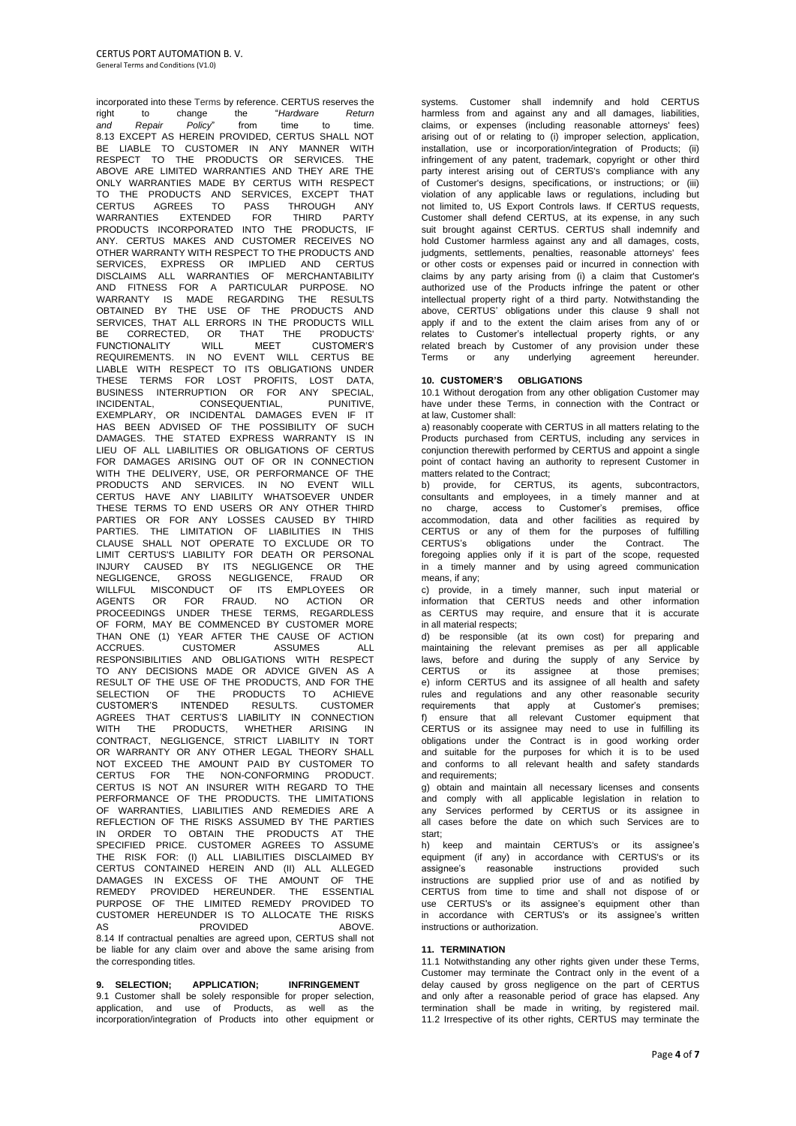incorporated into these Terms by reference. CERTUS reserves the<br>
right to change the "Hardware Return right to change the "*Hardware Return and Repair Policy*" from time to time. 8.13 EXCEPT AS HEREIN PROVIDED, CERTUS SHALL NOT BE LIABLE TO CUSTOMER IN ANY MANNER WITH RESPECT TO THE PRODUCTS OR SERVICES. THE ABOVE ARE LIMITED WARRANTIES AND THEY ARE THE ONLY WARRANTIES MADE BY CERTUS WITH RESPECT TO THE PRODUCTS AND SERVICES, EXCEPT THAT CERTUS AGREES TO PASS THROUGH ANY WARRANTIES EXTENDED FOR THIRD PARTY PRODUCTS INCORPORATED INTO THE PRODUCTS, IF ANY. CERTUS MAKES AND CUSTOMER RECEIVES NO OTHER WARRANTY WITH RESPECT TO THE PRODUCTS AND SERVICES, EXPRESS OR IMPLIED TO THE PRODUCTS AND CERTUS<br>SERVICES, EXPRESS OR IMPLIED AND CERTUS DISCLAIMS ALL WARRANTIES OF MERCHANTABILITY AND FITNESS FOR A PARTICULAR PURPOSE. NO WARRANTY IS MADE REGARDING THE RESULTS OBTAINED BY THE USE OF THE PRODUCTS AND SERVICES, THAT ALL ERRORS IN THE PRODUCTS WILL BE CORRECTED, OR THAT THE PRODUCTS' FUNCTIONALITY WILL MEET CUSTOMER'S REQUIREMENTS. IN NO EVENT WILL CERTUS BE LIABLE WITH RESPECT TO ITS OBLIGATIONS UNDER THESE TERMS FOR LOST PROFITS, LOST DATA, BUSINESS INTERRUPTION OR FOR ANY SPECIAL, INCIDENTAL, CONSEQUENTIAL, PUNITIVE, EXEMPLARY, OR INCIDENTAL DAMAGES EVEN IF IT HAS BEEN ADVISED OF THE POSSIBILITY OF SUCH DAMAGES. THE STATED EXPRESS WARRANTY IS IN LIEU OF ALL LIABILITIES OR OBLIGATIONS OF CERTUS FOR DAMAGES ARISING OUT OF OR IN CONNECTION WITH THE DELIVERY, USE, OR PERFORMANCE OF THE PRODUCTS AND SERVICES. IN NO EVENT WILL CERTUS HAVE ANY LIABILITY WHATSOEVER UNDER THESE TERMS TO END USERS OR ANY OTHER THIRD PARTIES OR FOR ANY LOSSES CAUSED BY THIRD PARTIES. THE LIMITATION OF LIABILITIES IN THIS CLAUSE SHALL NOT OPERATE TO EXCLUDE OR TO LIMIT CERTUS'S LIABILITY FOR DEATH OR PERSONAL INJURY CAUSED BY ITS NEGLIGENCE OR THE NEGLIGENCE, GROSS NEGLIGENCE, FRAUD OR WILLFUL MISCONDUCT OF ITS EMPLOYEES OR AGENTS OR FOR FRAUD. NO ACTION OR PROCEEDINGS UNDER THESE TERMS, REGARDLESS OF FORM, MAY BE COMMENCED BY CUSTOMER MORE THAN ONE (1) YEAR AFTER THE CAUSE OF ACTION ACCRUES. CUSTOMER ASSUMES ALL RESPONSIBILITIES AND OBLIGATIONS WITH RESPECT TO ANY DECISIONS MADE OR ADVICE GIVEN AS A RESULT OF THE USE OF THE PRODUCTS, AND FOR THE SELECTION OF THE PRODUCTS TO ACHIEVE CUSTOMER'S INTENDED RESULTS. CUSTOMER AGREES THAT CERTUS'S LIABILITY IN CONNECTION WITH THE PRODUCTS, WHETHER ARISING IN CONTRACT, NEGLIGENCE, STRICT LIABILITY IN TORT OR WARRANTY OR ANY OTHER LEGAL THEORY SHALL NOT EXCEED THE AMOUNT PAID BY CUSTOMER TO CERTUS FOR THE NON-CONFORMING PRODUCT. CERTUS IS NOT AN INSURER WITH REGARD TO THE PERFORMANCE OF THE PRODUCTS. THE LIMITATIONS OF WARRANTIES, LIABILITIES AND REMEDIES ARE A REFLECTION OF THE RISKS ASSUMED BY THE PARTIES IN ORDER TO OBTAIN THE PRODUCTS AT THE SPECIFIED PRICE. CUSTOMER AGREES TO ASSUME THE RISK FOR: (I) ALL LIABILITIES DISCLAIMED BY CERTUS CONTAINED HEREIN AND (II) ALL ALLEGED DAMAGES IN EXCESS OF THE AMOUNT OF THE REMEDY PROVIDED HEREUNDER. THE ESSENTIAL PURPOSE OF THE LIMITED REMEDY PROVIDED TO CUSTOMER HEREUNDER IS TO ALLOCATE THE RISKS AS PROVIDED ABOVE. 8.14 If contractual penalties are agreed upon, CERTUS shall not be liable for any claim over and above the same arising from the corresponding titles.

**9. SELECTION; APPLICATION; INFRINGEMENT** 9.1 Customer shall be solely responsible for proper selection, application, and use of Products, as well as the incorporation/integration of Products into other equipment or systems. Customer shall indemnify and hold CERTUS harmless from and against any and all damages, liabilities, claims, or expenses (including reasonable attorneys' fees) arising out of or relating to (i) improper selection, application, installation, use or incorporation/integration of Products; (ii) infringement of any patent, trademark, copyright or other third party interest arising out of CERTUS's compliance with any of Customer's designs, specifications, or instructions; or (iii) violation of any applicable laws or regulations, including but not limited to, US Export Controls laws. If CERTUS requests, Customer shall defend CERTUS, at its expense, in any such suit brought against CERTUS. CERTUS shall indemnify and hold Customer harmless against any and all damages, costs, judgments, settlements, penalties, reasonable attorneys' fees or other costs or expenses paid or incurred in connection with claims by any party arising from (i) a claim that Customer's authorized use of the Products infringe the patent or other intellectual property right of a third party. Notwithstanding the above, CERTUS' obligations under this clause 9 shall not apply if and to the extent the claim arises from any of or relates to Customer's intellectual property rights, or any related breach by Customer of any provision under these Terms or any underlying agreement hereunder.

# **10. CUSTOMER'S OBLIGATIONS**

10.1 Without derogation from any other obligation Customer may have under these Terms, in connection with the Contract or at law, Customer shall:

a) reasonably cooperate with CERTUS in all matters relating to the Products purchased from CERTUS, including any services in conjunction therewith performed by CERTUS and appoint a single point of contact having an authority to represent Customer in matters related to the Contract;

b) provide, for CERTUS, its agents, subcontractors, consultants and employees, in a timely manner and at no charge, access to Customer's premises, office accommodation, data and other facilities as required by CERTUS or any of them for the purposes of fulfilling<br>CERTUS's obligations under the Contract. The CERTUS's obligations under the Contract. foregoing applies only if it is part of the scope, requested in a timely manner and by using agreed communication means, if any;

c) provide, in a timely manner, such input material or information that CERTUS needs and other information as CERTUS may require, and ensure that it is accurate in all material respects;

d) be responsible (at its own cost) for preparing and maintaining the relevant premises as per all applicable laws, before and during the supply of any Service by CERTUS or its assignee at those premises; e) inform CERTUS and its assignee of all health and safety rules and regulations and any other reasonable security requirements that apply at Customer's premises; f) ensure that all relevant Customer equipment that CERTUS or its assignee may need to use in fulfilling its obligations under the Contract is in good working order and suitable for the purposes for which it is to be used and conforms to all relevant health and safety standards and requirements;

g) obtain and maintain all necessary licenses and consents and comply with all applicable legislation in relation to any Services performed by CERTUS or its assignee in all cases before the date on which such Services are to start;

h) keep and maintain CERTUS's or its assignee's equipment (if any) in accordance with CERTUS's or its assignee's reasonable instructions provided such instructions are supplied prior use of and as notified by CERTUS from time to time and shall not dispose of or use CERTUS's or its assignee's equipment other than in accordance with CERTUS's or its assignee's written instructions or authorization.

#### **11. TERMINATION**

11.1 Notwithstanding any other rights given under these Terms. Customer may terminate the Contract only in the event of a delay caused by gross negligence on the part of CERTUS and only after a reasonable period of grace has elapsed. Any termination shall be made in writing, by registered mail. 11.2 Irrespective of its other rights, CERTUS may terminate the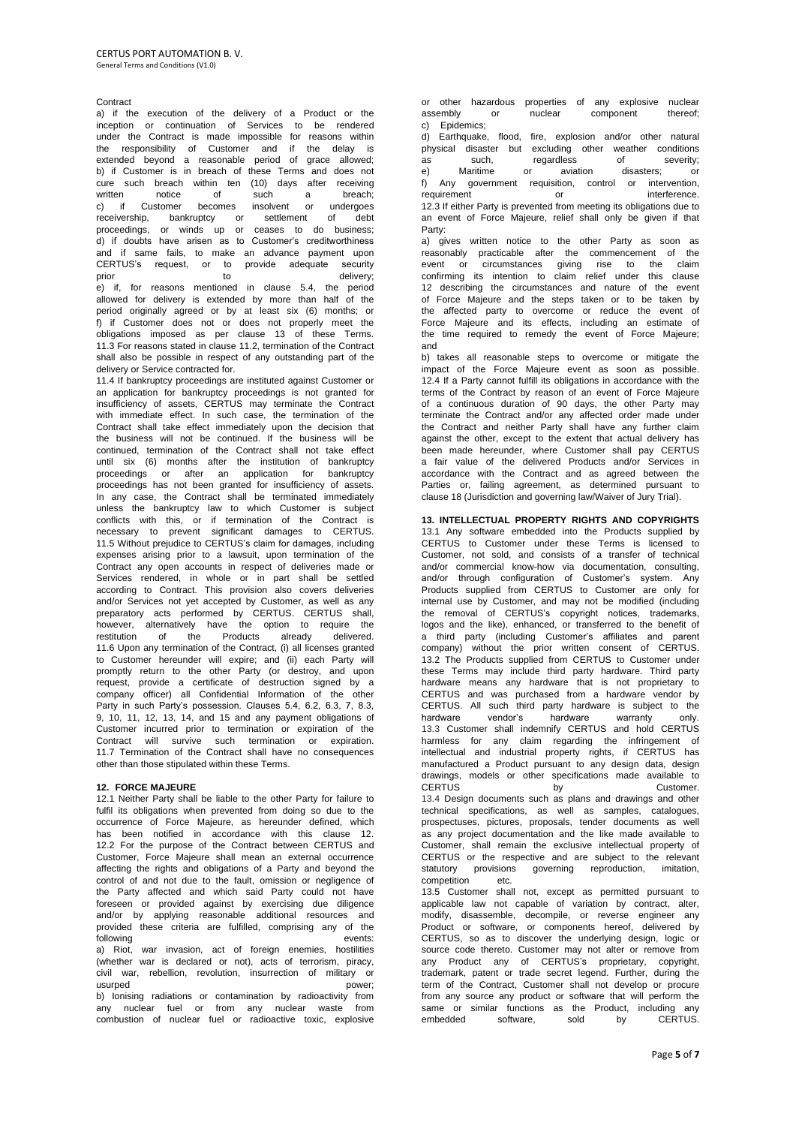# Contract

a) if the execution of the delivery of a Product or the inception or continuation of Services to be rendered under the Contract is made impossible for reasons within the responsibility of Customer and if the delay is extended beyond a reasonable period of grace allowed; b) if Customer is in breach of these Terms and does not cure such breach within ten (10) days after receiving written notice of such a breach;<br>c) if Customer becomes insolvent or undergoes written notice or such a breach;<br>c) if Customer becomes insolvent or undergoes receivership, bankruptcy or settlement of debt proceedings, or winds up or ceases to do business; d) if doubts have arisen as to Customer's creditworthiness and if same fails, to make an advance payment upon CERTUS's request, or to provide adequate security prior to to delivery; e) if, for reasons mentioned in clause 5.4, the period allowed for delivery is extended by more than half of the period originally agreed or by at least six (6) months; or f) if Customer does not or does not properly meet the obligations imposed as per clause 13 of these Terms. 11.3 For reasons stated in clause 11.2, termination of the Contract shall also be possible in respect of any outstanding part of the delivery or Service contracted for.

11.4 If bankruptcy proceedings are instituted against Customer or an application for bankruptcy proceedings is not granted for insufficiency of assets, CERTUS may terminate the Contract with immediate effect. In such case, the termination of the Contract shall take effect immediately upon the decision that the business will not be continued. If the business will be continued, termination of the Contract shall not take effect until six (6) months after the institution of bankruptcy proceedings or after an application for bankruptcy proceedings has not been granted for insufficiency of assets. In any case, the Contract shall be terminated immediately unless the bankruptcy law to which Customer is subject conflicts with this, or if termination of the Contract is necessary to prevent significant damages to CERTUS. 11.5 Without prejudice to CERTUS's claim for damages, including expenses arising prior to a lawsuit, upon termination of the Contract any open accounts in respect of deliveries made or Services rendered, in whole or in part shall be settled according to Contract. This provision also covers deliveries and/or Services not yet accepted by Customer, as well as any preparatory acts performed by CERTUS. CERTUS shall, however, alternatively have the option to require the restitution of the Products already delivered. 11.6 Upon any termination of the Contract, (i) all licenses granted to Customer hereunder will expire; and (ii) each Party will promptly return to the other Party (or destroy, and upon request, provide a certificate of destruction signed by a company officer) all Confidential Information of the other Party in such Party's possession. Clauses 5.4, 6.2, 6.3, 7, 8.3, 9, 10, 11, 12, 13, 14, and 15 and any payment obligations of Customer incurred prior to termination or expiration of the Contract will survive such termination or expiration. 11.7 Termination of the Contract shall have no consequences other than those stipulated within these Terms.

#### **12. FORCE MAJEURE**

12.1 Neither Party shall be liable to the other Party for failure to fulfil its obligations when prevented from doing so due to the occurrence of Force Majeure, as hereunder defined, which has been notified in accordance with this clause 12. 12.2 For the purpose of the Contract between CERTUS and Customer, Force Majeure shall mean an external occurrence affecting the rights and obligations of a Party and beyond the control of and not due to the fault, omission or negligence of the Party affected and which said Party could not have foreseen or provided against by exercising due diligence and/or by applying reasonable additional resources and provided these criteria are fulfilled, comprising any of the following events: a) Riot, war invasion, act of foreign enemies, hostilities (whether war is declared or not), acts of terrorism, piracy, civil war, rebellion, revolution, insurrection of military or usurped power; b) Ionising radiations or contamination by radioactivity from

any nuclear fuel or from any nuclear waste from combustion of nuclear fuel or radioactive toxic, explosive or other hazardous properties of any explosive nuclear<br>assembly or nuclear component thereof: component c) Epidemics;

d) Earthquake, flood, fire, explosion and/or other natural physical disaster but excluding other weather conditions<br>as such, regardless of severity: as such, regardless of e) Maritime or aviation disasters; or f) Any government requisition, control or intervention, requirement or or interference. 12.3 If either Party is prevented from meeting its obligations due to an event of Force Majeure, relief shall only be given if that Party:

a) gives written notice to the other Party as soon as reasonably practicable after the commencement of the event or circumstances giving rise to the claim confirming its intention to claim relief under this clause 12 describing the circumstances and nature of the event of Force Majeure and the steps taken or to be taken by the affected party to overcome or reduce the event of Force Majeure and its effects, including an estimate of the time required to remedy the event of Force Majeure; and

b) takes all reasonable steps to overcome or mitigate the impact of the Force Majeure event as soon as possible. 12.4 If a Party cannot fulfill its obligations in accordance with the terms of the Contract by reason of an event of Force Majeure of a continuous duration of 90 days, the other Party may terminate the Contract and/or any affected order made under the Contract and neither Party shall have any further claim against the other, except to the extent that actual delivery has been made hereunder, where Customer shall pay CERTUS a fair value of the delivered Products and/or Services in accordance with the Contract and as agreed between the Parties or, failing agreement, as determined pursuant to clause 18 (Jurisdiction and governing law/Waiver of Jury Trial).

**13. INTELLECTUAL PROPERTY RIGHTS AND COPYRIGHTS** 13.1 Any software embedded into the Products supplied by CERTUS to Customer under these Terms is licensed to Customer, not sold, and consists of a transfer of technical and/or commercial know-how via documentation, consulting, and/or through configuration of Customer's system. Any Products supplied from CERTUS to Customer are only for internal use by Customer, and may not be modified (including the removal of CERTUS's copyright notices, trademarks, logos and the like), enhanced, or transferred to the benefit of a third party (including Customer's affiliates and parent company) without the prior written consent of CERTUS. 13.2 The Products supplied from CERTUS to Customer under these Terms may include third party hardware. Third party hardware means any hardware that is not proprietary to CERTUS and was purchased from a hardware vendor by CERTUS. All such third party hardware is subject to the hardware vendor's hardware warranty 13.3 Customer shall indemnify CERTUS and hold CERTUS harmless for any claim regarding the infringement of intellectual and industrial property rights, if CERTUS has manufactured a Product pursuant to any design data, design drawings, models or other specifications made available to CERTUS by by Customer. 13.4 Design documents such as plans and drawings and other technical specifications, as well as samples, catalogues, prospectuses, pictures, proposals, tender documents as well as any project documentation and the like made available to Customer, shall remain the exclusive intellectual property of CERTUS or the respective and are subject to the relevant statutory provisions governing reproduction, imitation, competition etc.

13.5 Customer shall not, except as permitted pursuant to applicable law not capable of variation by contract, alter, modify, disassemble, decompile, or reverse engineer any Product or software, or components hereof, delivered by CERTUS, so as to discover the underlying design, logic or source code thereto. Customer may not alter or remove from any Product any of CERTUS's proprietary, copyright, trademark, patent or trade secret legend. Further, during the term of the Contract, Customer shall not develop or procure from any source any product or software that will perform the same or similar functions as the Product, including any embedded software sold by CERTUS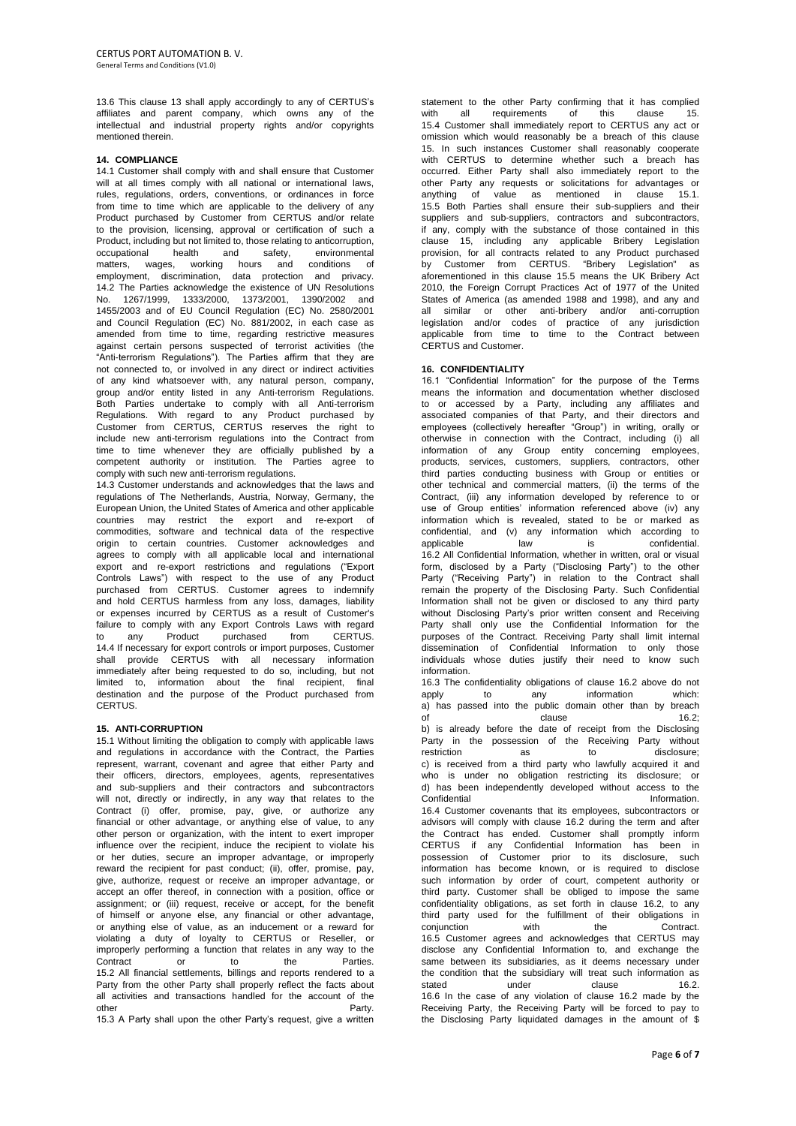13.6 This clause 13 shall apply accordingly to any of CERTUS's affiliates and parent company, which owns any of the intellectual and industrial property rights and/or copyrights mentioned therein.

## **14. COMPLIANCE**

14.1 Customer shall comply with and shall ensure that Customer will at all times comply with all national or international laws, rules, regulations, orders, conventions, or ordinances in force from time to time which are applicable to the delivery of any Product purchased by Customer from CERTUS and/or relate to the provision, licensing, approval or certification of such a Product, including but not limited to, those relating to anticorruption, occupational health and safety, environmental matters, wages, working hours and conditions of employment, discrimination, data protection and privacy. 14.2 The Parties acknowledge the existence of UN Resolutions No. 1267/1999, 1333/2000, 1373/2001, 1390/2002 and 1455/2003 and of EU Council Regulation (EC) No. 2580/2001 and Council Regulation (EC) No. 881/2002, in each case as amended from time to time, regarding restrictive measures against certain persons suspected of terrorist activities (the "Anti-terrorism Regulations"). The Parties affirm that they are not connected to, or involved in any direct or indirect activities of any kind whatsoever with, any natural person, company, group and/or entity listed in any Anti-terrorism Regulations. Both Parties undertake to comply with all Anti-terrorism Regulations. With regard to any Product purchased by Customer from CERTUS, CERTUS reserves the right to include new anti-terrorism regulations into the Contract from time to time whenever they are officially published by a competent authority or institution. The Parties agree to comply with such new anti-terrorism regulations.

14.3 Customer understands and acknowledges that the laws and regulations of The Netherlands, Austria, Norway, Germany, the European Union, the United States of America and other applicable countries may restrict the export and re-export of commodities, software and technical data of the respective origin to certain countries. Customer acknowledges and agrees to comply with all applicable local and international export and re-export restrictions and regulations ("Export Controls Laws") with respect to the use of any Product purchased from CERTUS. Customer agrees to indemnify and hold CERTUS harmless from any loss, damages, liability or expenses incurred by CERTUS as a result of Customer's failure to comply with any Export Controls Laws with regard to any Product purchased from CERTUS. 14.4 If necessary for export controls or import purposes, Customer shall provide CERTUS with all necessary information immediately after being requested to do so, including, but not limited to, information about the final recipient, final destination and the purpose of the Product purchased from CERTUS.

# **15. ANTI-CORRUPTION**

15.1 Without limiting the obligation to comply with applicable laws and regulations in accordance with the Contract, the Parties represent, warrant, covenant and agree that either Party and their officers, directors, employees, agents, representatives and sub-suppliers and their contractors and subcontractors will not, directly or indirectly, in any way that relates to the Contract (i) offer, promise, pay, give, or authorize any financial or other advantage, or anything else of value, to any other person or organization, with the intent to exert improper influence over the recipient, induce the recipient to violate his or her duties, secure an improper advantage, or improperly reward the recipient for past conduct; (ii), offer, promise, pay, give, authorize, request or receive an improper advantage, or accept an offer thereof, in connection with a position, office or assignment; or (iii) request, receive or accept, for the benefit of himself or anyone else, any financial or other advantage, or anything else of value, as an inducement or a reward for violating a duty of loyalty to CERTUS or Reseller, or improperly performing a function that relates in any way to the Contract or to the Parties. 15.2 All financial settlements, billings and reports rendered to a Party from the other Party shall properly reflect the facts about all activities and transactions handled for the account of the other **Party.** 15.3 A Party shall upon the other Party's request, give a written

statement to the other Party confirming that it has complied<br>with all requirements of this clause 15 requirements of this 15.4 Customer shall immediately report to CERTUS any act or omission which would reasonably be a breach of this clause 15. In such instances Customer shall reasonably cooperate with CERTUS to determine whether such a breach has occurred. Either Party shall also immediately report to the other Party any requests or solicitations for advantages or anything of value as mentioned in clause 15.1. 15.5 Both Parties shall ensure their sub-suppliers and their suppliers and sub-suppliers, contractors and subcontractors, if any, comply with the substance of those contained in this clause 15, including any applicable Bribery Legislation provision, for all contracts related to any Product purchased by Customer from CERTUS. "Bribery Legislation" as aforementioned in this clause 15.5 means the UK Bribery Act 2010, the Foreign Corrupt Practices Act of 1977 of the United States of America (as amended 1988 and 1998), and any and all similar or other anti-bribery and/or anti-corruption legislation and/or codes of practice of any jurisdiction applicable from time to time to the Contract between CERTUS and Customer.

## **16. CONFIDENTIALITY**

16.1 "Confidential Information" for the purpose of the Terms means the information and documentation whether disclosed to or accessed by a Party, including any affiliates and associated companies of that Party, and their directors and employees (collectively hereafter "Group") in writing, orally or otherwise in connection with the Contract, including (i) all information of any Group entity concerning employees, products, services, customers, suppliers, contractors, other third parties conducting business with Group or entities or other technical and commercial matters, (ii) the terms of the Contract, (iii) any information developed by reference to or use of Group entities' information referenced above (iv) any information which is revealed, stated to be or marked as confidential, and (v) any information which according to applicable law is confidential. 16.2 All Confidential Information, whether in written, oral or visual form, disclosed by a Party ("Disclosing Party") to the other Party ("Receiving Party") in relation to the Contract shall remain the property of the Disclosing Party. Such Confidential Information shall not be given or disclosed to any third party without Disclosing Party's prior written consent and Receiving Party shall only use the Confidential Information for the purposes of the Contract. Receiving Party shall limit internal dissemination of Confidential Information to only those individuals whose duties justify their need to know such information.

16.3 The confidentiality obligations of clause 16.2 above do not apply to any information which: a) has passed into the public domain other than by breach of clause 16.2; of clause clause 16.2; b) is already before the date of receipt from the Disclosing Party in the possession of the Receiving Party without restriction as to disclosure; c) is received from a third party who lawfully acquired it and who is under no obligation restricting its disclosure; or d) has been independently developed without access to the Confidential **Information** 16.4 Customer covenants that its employees, subcontractors or advisors will comply with clause 16.2 during the term and after the Contract has ended. Customer shall promptly inform CERTUS if any Confidential Information has been in possession of Customer prior to its disclosure, such information has become known, or is required to disclose such information by order of court, competent authority or third party. Customer shall be obliged to impose the same confidentiality obligations, as set forth in clause 16.2, to any third party used for the fulfillment of their obligations in conjunction with the Contract. conjunction with the Contract. 16.5 Customer agrees and acknowledges that CERTUS may disclose any Confidential Information to, and exchange the same between its subsidiaries, as it deems necessary under the condition that the subsidiary will treat such information as stated under clause 16.2. 16.6 In the case of any violation of clause 16.2 made by the Receiving Party, the Receiving Party will be forced to pay to the Disclosing Party liquidated damages in the amount of \$